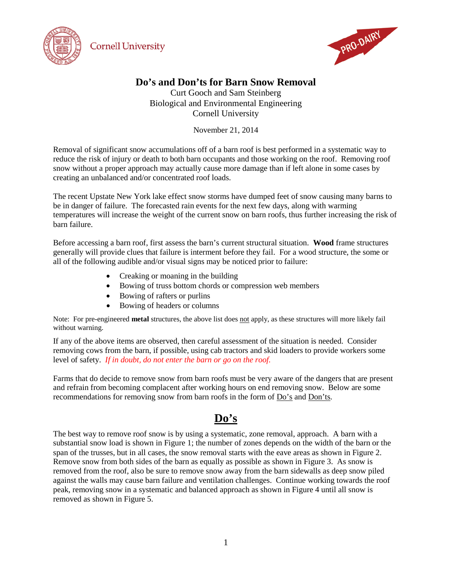



## **Do's and Don'ts for Barn Snow Removal**

Curt Gooch and Sam Steinberg Biological and Environmental Engineering Cornell University

November 21, 2014

Removal of significant snow accumulations off of a barn roof is best performed in a systematic way to reduce the risk of injury or death to both barn occupants and those working on the roof. Removing roof snow without a proper approach may actually cause more damage than if left alone in some cases by creating an unbalanced and/or concentrated roof loads.

The recent Upstate New York lake effect snow storms have dumped feet of snow causing many barns to be in danger of failure. The forecasted rain events for the next few days, along with warming temperatures will increase the weight of the current snow on barn roofs, thus further increasing the risk of barn failure.

Before accessing a barn roof, first assess the barn's current structural situation. **Wood** frame structures generally will provide clues that failure is interment before they fail. For a wood structure, the some or all of the following audible and/or visual signs may be noticed prior to failure:

- Creaking or moaning in the building
- Bowing of truss bottom chords or compression web members
- Bowing of rafters or purlins
- Bowing of headers or columns

Note: For pre-engineered **metal** structures, the above list does not apply, as these structures will more likely fail without warning.

If any of the above items are observed, then careful assessment of the situation is needed. Consider removing cows from the barn, if possible, using cab tractors and skid loaders to provide workers some level of safety. *If in doubt, do not enter the barn or go on the roof.*

Farms that do decide to remove snow from barn roofs must be very aware of the dangers that are present and refrain from becoming complacent after working hours on end removing snow. Below are some recommendations for removing snow from barn roofs in the form of Do's and Don'ts.

## **Do's**

The best way to remove roof snow is by using a systematic, zone removal, approach. A barn with a substantial snow load is shown in Figure 1; the number of zones depends on the width of the barn or the span of the trusses, but in all cases, the snow removal starts with the eave areas as shown in Figure 2. Remove snow from both sides of the barn as equally as possible as shown in Figure 3. As snow is removed from the roof, also be sure to remove snow away from the barn sidewalls as deep snow piled against the walls may cause barn failure and ventilation challenges. Continue working towards the roof peak, removing snow in a systematic and balanced approach as shown in Figure 4 until all snow is removed as shown in Figure 5.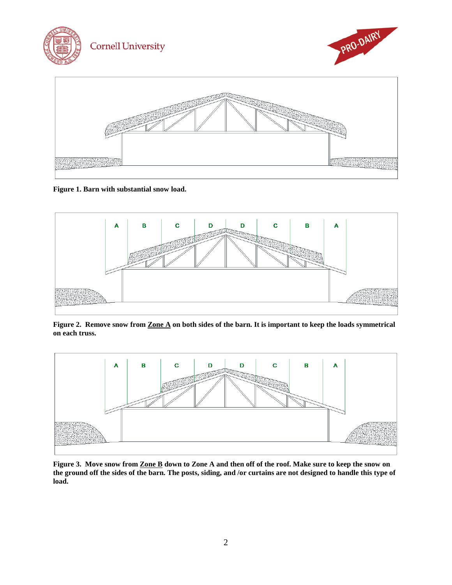

**Figure 1. Barn with substantial snow load.**



**Figure 2. Remove snow from Zone A on both sides of the barn. It is important to keep the loads symmetrical on each truss.**



**Figure 3. Move snow from Zone B down to Zone A and then off of the roof. Make sure to keep the snow on the ground off the sides of the barn. The posts, siding, and /or curtains are not designed to handle this type of load.**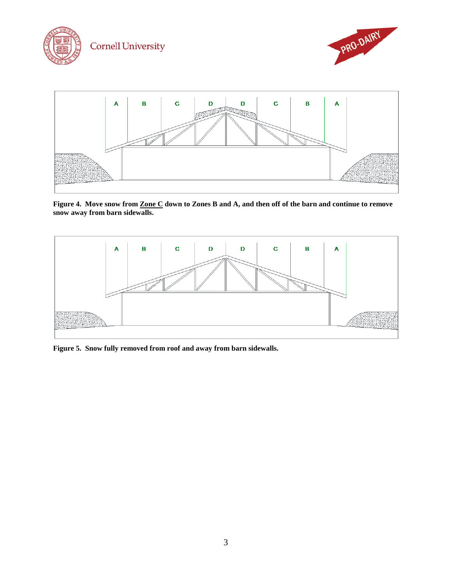

**Figure 4. Move snow from Zone C down to Zones B and A, and then off of the barn and continue to remove snow away from barn sidewalls.**



**Figure 5. Snow fully removed from roof and away from barn sidewalls.**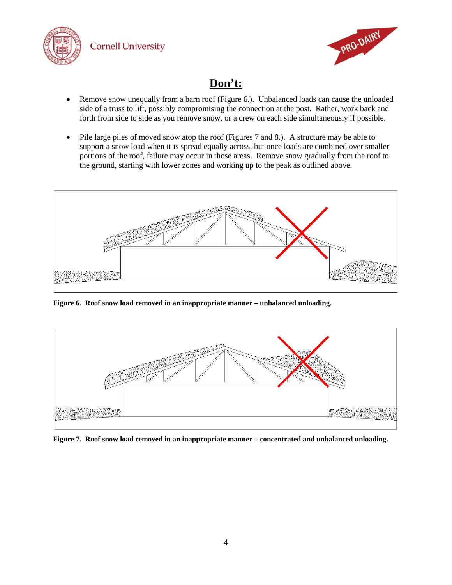



## **Don't:**

- Remove snow unequally from a barn roof (Figure 6*.*). Unbalanced loads can cause the unloaded side of a truss to lift, possibly compromising the connection at the post. Rather, work back and forth from side to side as you remove snow, or a crew on each side simultaneously if possible.
- Pile large piles of moved snow atop the roof (Figures 7 and 8.). A structure may be able to support a snow load when it is spread equally across, but once loads are combined over smaller portions of the roof, failure may occur in those areas. Remove snow gradually from the roof to the ground, starting with lower zones and working up to the peak as outlined above.



**Figure 6. Roof snow load removed in an inappropriate manner – unbalanced unloading.**



**Figure 7. Roof snow load removed in an inappropriate manner – concentrated and unbalanced unloading.**